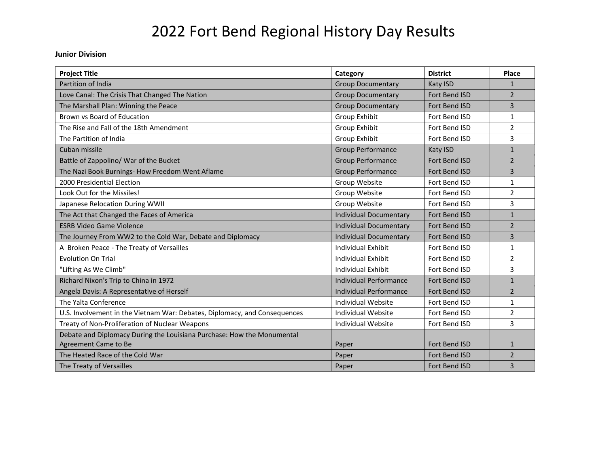## 2022 Fort Bend Regional History Day Results

## **Junior Division**

| <b>Project Title</b>                                                      | Category                      | <b>District</b> | Place          |
|---------------------------------------------------------------------------|-------------------------------|-----------------|----------------|
| Partition of India                                                        | <b>Group Documentary</b>      | Katy ISD        | 1              |
| Love Canal: The Crisis That Changed The Nation                            | <b>Group Documentary</b>      | Fort Bend ISD   | $\overline{2}$ |
| The Marshall Plan: Winning the Peace                                      | <b>Group Documentary</b>      | Fort Bend ISD   | 3              |
| Brown vs Board of Education                                               | Group Exhibit                 | Fort Bend ISD   | $\mathbf{1}$   |
| The Rise and Fall of the 18th Amendment                                   | Group Exhibit                 | Fort Bend ISD   | $\overline{2}$ |
| The Partition of India                                                    | Group Exhibit                 | Fort Bend ISD   | 3              |
| Cuban missile                                                             | <b>Group Performance</b>      | Katy ISD        | $\mathbf{1}$   |
| Battle of Zappolino/ War of the Bucket                                    | <b>Group Performance</b>      | Fort Bend ISD   | $\overline{2}$ |
| The Nazi Book Burnings- How Freedom Went Aflame                           | <b>Group Performance</b>      | Fort Bend ISD   | 3              |
| 2000 Presidential Election                                                | Group Website                 | Fort Bend ISD   | $\mathbf{1}$   |
| Look Out for the Missiles!                                                | Group Website                 | Fort Bend ISD   | $\overline{2}$ |
| Japanese Relocation During WWII                                           | Group Website                 | Fort Bend ISD   | 3              |
| The Act that Changed the Faces of America                                 | <b>Individual Documentary</b> | Fort Bend ISD   | $\mathbf{1}$   |
| <b>ESRB Video Game Violence</b>                                           | <b>Individual Documentary</b> | Fort Bend ISD   | $\overline{2}$ |
| The Journey From WW2 to the Cold War, Debate and Diplomacy                | <b>Individual Documentary</b> | Fort Bend ISD   | 3              |
| A Broken Peace - The Treaty of Versailles                                 | <b>Individual Exhibit</b>     | Fort Bend ISD   | $\mathbf{1}$   |
| <b>Evolution On Trial</b>                                                 | Individual Exhibit            | Fort Bend ISD   | $\overline{2}$ |
| "Lifting As We Climb"                                                     | <b>Individual Exhibit</b>     | Fort Bend ISD   | 3              |
| Richard Nixon's Trip to China in 1972                                     | <b>Individual Performance</b> | Fort Bend ISD   | $\mathbf{1}$   |
| Angela Davis: A Representative of Herself                                 | <b>Individual Performance</b> | Fort Bend ISD   | $\overline{2}$ |
| The Yalta Conference                                                      | Individual Website            | Fort Bend ISD   | $\mathbf{1}$   |
| U.S. Involvement in the Vietnam War: Debates, Diplomacy, and Consequences | Individual Website            | Fort Bend ISD   | $\overline{2}$ |
| Treaty of Non-Proliferation of Nuclear Weapons                            | Individual Website            | Fort Bend ISD   | 3              |
| Debate and Diplomacy During the Louisiana Purchase: How the Monumental    |                               |                 |                |
| Agreement Came to Be                                                      | Paper                         | Fort Bend ISD   | $\mathbf{1}$   |
| The Heated Race of the Cold War                                           | Paper                         | Fort Bend ISD   | $\overline{2}$ |
| The Treaty of Versailles                                                  | Paper                         | Fort Bend ISD   | 3              |